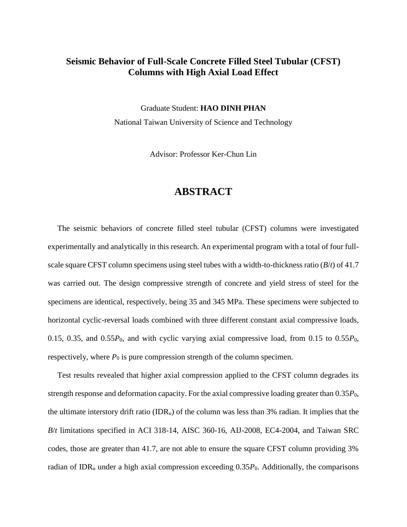## **Seismic Behavior of Full-Scale Concrete Filled Steel Tubular (CFST) Columns with High Axial Load Effect**

Graduate Student: **HAO DINH PHAN** National Taiwan University of Science and Technology

Advisor: Professor Ker-Chun Lin

## **ABSTRACT**

The seismic behaviors of concrete filled steel tubular (CFST) columns were investigated experimentally and analytically in this research. An experimental program with a total of four fullscale square CFST column specimens using steel tubes with a width-to-thickness ratio (*B*/*t*) of 41.7 was carried out. The design compressive strength of concrete and yield stress of steel for the specimens are identical, respectively, being 35 and 345 MPa. These specimens were subjected to horizontal cyclic-reversal loads combined with three different constant axial compressive loads, 0.15, 0.35, and 0.55*P*0, and with cyclic varying axial compressive load, from 0.15 to 0.55*P*0, respectively, where  $P_0$  is pure compression strength of the column specimen.

Test results revealed that higher axial compression applied to the CFST column degrades its strength response and deformation capacity. For the axial compressive loading greater than 0.35*P*0, the ultimate interstory drift ratio (IDR<sub>u</sub>) of the column was less than 3% radian. It implies that the *B*/*t* limitations specified in ACI 318-14, AISC 360-16, AIJ-2008, EC4-2004, and Taiwan SRC codes, those are greater than 41.7, are not able to ensure the square CFST column providing 3% radian of IDR<sub>u</sub> under a high axial compression exceeding  $0.35P_0$ . Additionally, the comparisons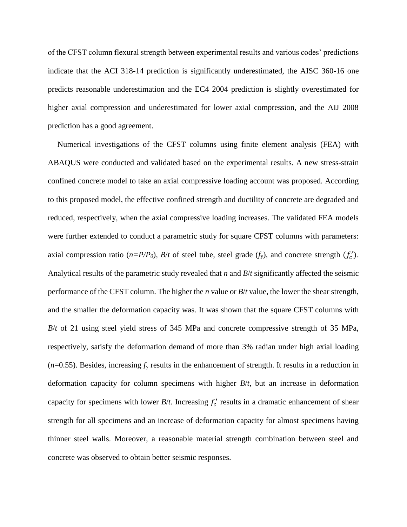of the CFST column flexural strength between experimental results and various codes' predictions indicate that the ACI 318-14 prediction is significantly underestimated, the AISC 360-16 one predicts reasonable underestimation and the EC4 2004 prediction is slightly overestimated for higher axial compression and underestimated for lower axial compression, and the AIJ 2008 prediction has a good agreement.

Numerical investigations of the CFST columns using finite element analysis (FEA) with ABAQUS were conducted and validated based on the experimental results. A new stress-strain confined concrete model to take an axial compressive loading account was proposed. According to this proposed model, the effective confined strength and ductility of concrete are degraded and reduced, respectively, when the axial compressive loading increases. The validated FEA models were further extended to conduct a parametric study for square CFST columns with parameters: axial compression ratio  $(n=P/P_0)$ ,  $B/t$  of steel tube, steel grade  $(f_y)$ , and concrete strength  $(f_c')$ . Analytical results of the parametric study revealed that *n* and *B*/*t* significantly affected the seismic performance of the CFST column. The higher the *n* value or *B*/*t* value, the lower the shear strength, and the smaller the deformation capacity was. It was shown that the square CFST columns with *B*/*t* of 21 using steel yield stress of 345 MPa and concrete compressive strength of 35 MPa, respectively, satisfy the deformation demand of more than 3% radian under high axial loading  $(n=0.55)$ . Besides, increasing  $f<sub>y</sub>$  results in the enhancement of strength. It results in a reduction in deformation capacity for column specimens with higher *B*/*t*, but an increase in deformation capacity for specimens with lower  $B/t$ . Increasing  $f'_{c}$  results in a dramatic enhancement of shear strength for all specimens and an increase of deformation capacity for almost specimens having thinner steel walls. Moreover, a reasonable material strength combination between steel and concrete was observed to obtain better seismic responses.